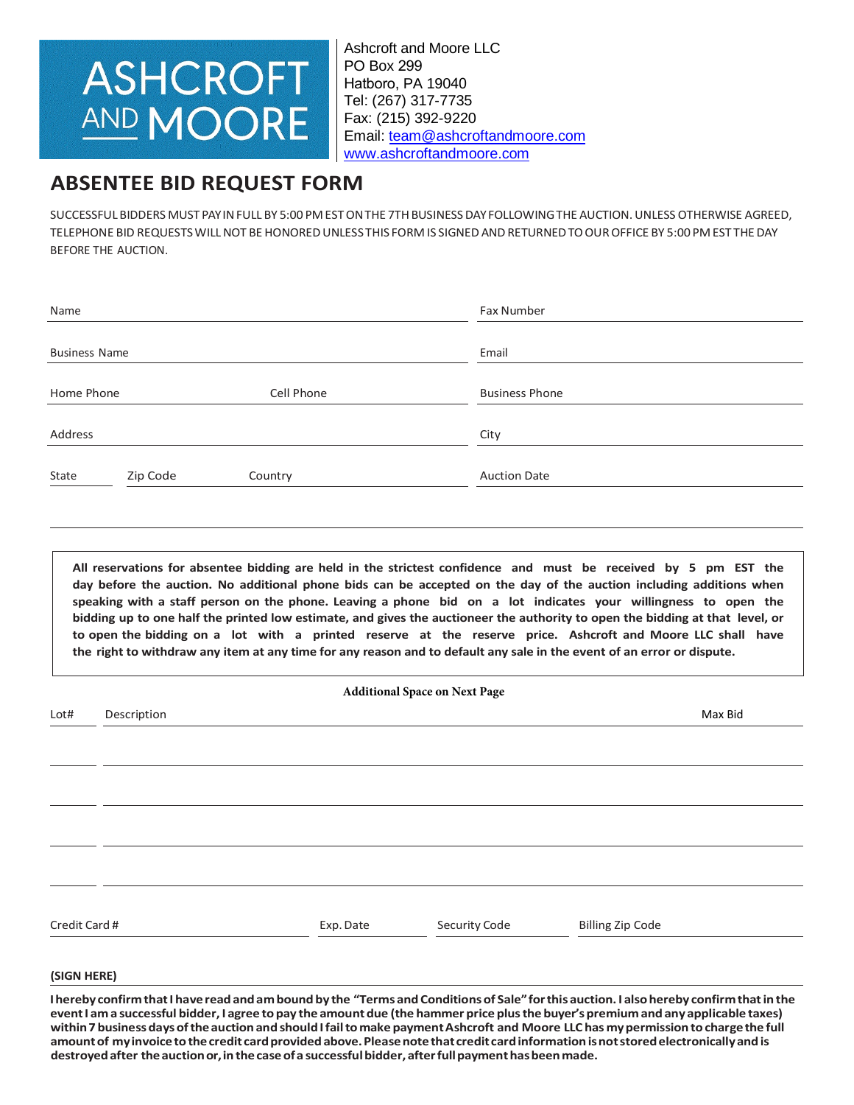## **ASHCROFT** AND MOORE

Ashcroft and Moore LLC PO Box 299 Hatboro, PA 19040 Tel: (267) 317-7735 Fax: (215) 392-9220 Email: [team@ashcroftandmoore.com](mailto:team@ashcroftandmoore.com) [www.ashcroftandmoore.com](http://www.ashcroftandmoore.com/)

## **ABSENTEE BID REQUEST FORM**

SUCCESSFUL BIDDERS MUST PAYIN FULL BY 5:00 PM EST ON THE 7TH BUSINESS DAY FOLLOWING THE AUCTION. UNLESS OTHERWISE AGREED. TELEPHONE BID REQUESTS WILL NOT BE HONORED UNLESS THIS FORM IS SIGNED AND RETURNED TO OUR OFFICE BY 5:00 PM EST THE DAY BEFORE THE AUCTION.

| Name                 |          |            | Fax Number            |  |
|----------------------|----------|------------|-----------------------|--|
|                      |          |            |                       |  |
| <b>Business Name</b> |          |            | Email                 |  |
|                      |          |            |                       |  |
| Home Phone           |          | Cell Phone | <b>Business Phone</b> |  |
|                      |          |            |                       |  |
| Address              |          |            | City                  |  |
|                      |          |            |                       |  |
| State                | Zip Code | Country    | <b>Auction Date</b>   |  |
|                      |          |            |                       |  |

**All reservations for absentee bidding are held in the strictest confidence and must be received by 5 pm EST the day before the auction. No additional phone bids can be accepted on the day of the auction including additions when speaking with a staff person on the phone. Leaving a phone bid on a lot indicates your willingness to open the bidding up to one half the printed low estimate, and gives the auctioneer the authority to open the bidding at that level, or to open the bidding on a lot with a printed reserve at the reserve price. Ashcroft and Moore LLC shall have the right to withdraw any item at any time for any reason and to default any sale in the event of an error or dispute.**

| <b>Additional Space on Next Page</b> |                                                                                                                                        |           |               |                         |         |  |  |  |
|--------------------------------------|----------------------------------------------------------------------------------------------------------------------------------------|-----------|---------------|-------------------------|---------|--|--|--|
| Lot#                                 | Description                                                                                                                            |           |               |                         | Max Bid |  |  |  |
|                                      |                                                                                                                                        |           |               |                         |         |  |  |  |
|                                      |                                                                                                                                        |           |               |                         |         |  |  |  |
|                                      |                                                                                                                                        |           |               |                         |         |  |  |  |
|                                      |                                                                                                                                        |           |               |                         |         |  |  |  |
|                                      |                                                                                                                                        |           |               |                         |         |  |  |  |
|                                      |                                                                                                                                        |           |               |                         |         |  |  |  |
|                                      |                                                                                                                                        |           |               |                         |         |  |  |  |
|                                      |                                                                                                                                        |           |               |                         |         |  |  |  |
|                                      |                                                                                                                                        |           |               |                         |         |  |  |  |
| Credit Card #                        |                                                                                                                                        | Exp. Date | Security Code | <b>Billing Zip Code</b> |         |  |  |  |
|                                      |                                                                                                                                        |           |               |                         |         |  |  |  |
| (SIGN HERE)                          |                                                                                                                                        |           |               |                         |         |  |  |  |
|                                      | Thereby confirm that I have read and am bound by the "Terms and Conditions of Sale" for this auction I also bereby confirm that in the |           |               |                         |         |  |  |  |

**I hereby confirmthat I havereadandamboundby the "Terms andConditionsof Sale"forthis auction. I alsohereby confirmthatinthe event I am a successful bidder, I agree topay the amountdue (the hammer price plusthe buyer'spremium andany applicable taxes) within 7 businessdaysoftheauctionandshould I failtomake paymentAshcroft and Moore LLC has mypermissiontochargethe full amountof myinvoicetothecredit cardprovidedabove.Pleasenotethat credit cardinformationisnotstoredelectronicallyandis destroyedafter theauctionor,inthecaseof a successfulbidder, afterfullpaymenthasbeenmade.**